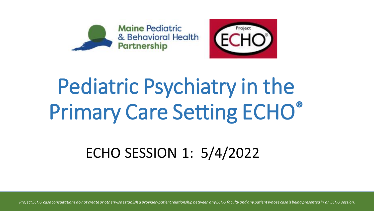



## Pediatric Psychiatry in the Primary Care Setting ECHO®

ECHO SESSION 1: 5/4/2022

*Project ECHO case consultations do not create or otherwise establish a provider-patient relationship between any ECHO faculty and any patient whose case is being presented in an ECHO session.*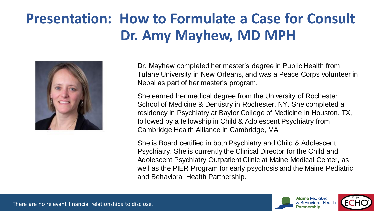## **Presentation: How to Formulate a Case for Consult Dr. Amy Mayhew, MD MPH**



Dr. Mayhew completed her master's degree in Public Health from Tulane University in New Orleans, and was a Peace Corps volunteer in Nepal as part of her master's program.

She earned her medical degree from the University of Rochester School of Medicine & Dentistry in Rochester, NY. She completed a residency in Psychiatry at Baylor College of Medicine in Houston, TX, followed by a fellowship in Child & Adolescent Psychiatry from Cambridge Health Alliance in Cambridge, MA.

She is Board certified in both Psychiatry and Child & Adolescent Psychiatry. She is currently the Clinical Director for the Child and Adolescent Psychiatry Outpatient Clinic at Maine Medical Center, as well as the PIER Program for early psychosis and the Maine Pediatric and Behavioral Health Partnership.



There are no relevant financial relationships to disclose.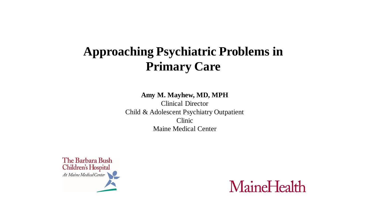## **Approaching Psychiatric Problems in Primary Care**

**Amy M. Mayhew, MD, MPH**

Clinical Director Child & Adolescent Psychiatry Outpatient Clinic Maine Medical Center



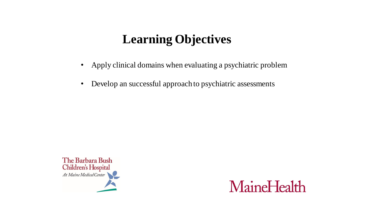## **Learning Objectives**

- Apply clinical domains when evaluating a psychiatric problem
- Develop an successful approach to psychiatric assessments



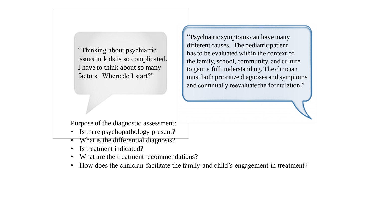"Thinking about psychiatric issues in kids is so complicated. I have to think about so many factors. Where do I start?"

"Psychiatric symptoms can have many different causes. The pediatric patient has to be evaluated within the context of the family, school, community, and culture to gain a full understanding. The clinician must both prioritize diagnoses and symptoms and continually reevaluate the formulation."

Purpose of the diagnostic assessment:

- Is there psychopathology present?
- What is the differential diagnosis?
- Is treatment indicated?
- What are the treatment recommendations?
- How does the clinician facilitate the family and child's engagement in treatment?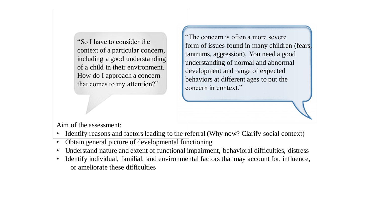"So I have to consider the context of a particular concern, including a good understanding of a child in their environment. How do I approach a concern that comes to my attention?"

"The concern is often a more severe form of issues found in many children (fears, tantrums, aggression). You need a good understanding of normal and abnormal development and range of expected behaviors at different ages to put the concern in context."

Aim of the assessment:

- Identify reasons and factors leading to the referral (Why now? Clarify social context)
- Obtain general picture of developmental functioning
- Understand nature and extent of functional impairment, behavioral difficulties, distress
- Identify individual, familial, and environmental factors that may account for, influence, or ameliorate these difficulties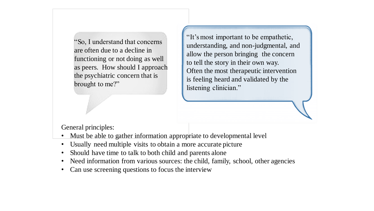"So, I understand that concerns are often due to a decline in functioning or not doing as well as peers. How should I approach the psychiatric concern that is brought to me?"

"It's most important to be empathetic, understanding, and non-judgmental, and allow the person bringing the concern to tell the story in their own way. Often the most therapeutic intervention is feeling heard and validated by the listening clinician."

General principles:

- Must be able to gather information appropriate to developmental level
- Usually need multiple visits to obtain a more accurate picture
- Should have time to talk to both child and parents alone
- Need information from various sources: the child, family, school, other agencies
- Can use screening questions to focus the interview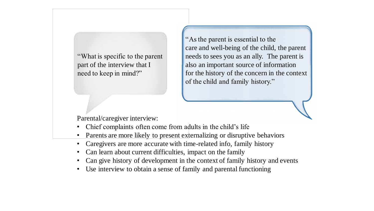"What is specific to the parent part of the interview that I need to keep in mind?"

"As the parent is essential to the care and well-being of the child, the parent needs to sees you as an ally. The parent is also an important source of information for the history of the concern in the context of the child and family history."

Parental/caregiver interview:

- Chief complaints often come from adults in the child's life
- Parents are more likely to present externalizing or disruptive behaviors
- Caregivers are more accurate with time-related info, family history
- Can learn about current difficulties, impact on the family
- Can give history of development in the context of family history and events
- Use interview to obtain a sense of family and parental functioning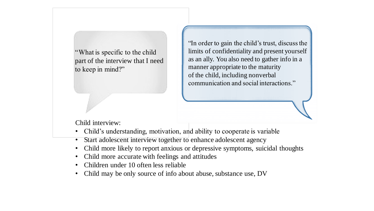"What is specific to the child part of the interview that I need to keep in mind?"

"In order to gain the child's trust, discuss the limits of confidentiality and present yourself as an ally. You also need to gather info in a manner appropriate to the maturity of the child, including nonverbal communication and social interactions."

Child interview:

- Child's understanding, motivation, and ability to cooperate is variable
- Start adolescent interview together to enhance adolescent agency
- Child more likely to report anxious or depressive symptoms, suicidal thoughts
- Child more accurate with feelings and attitudes
- Children under 10 often less reliable
- Child may be only source of info about abuse, substance use, DV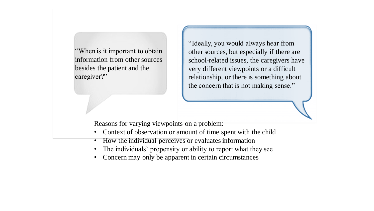"When is it important to obtain information from other sources besides the patient and the caregiver?"

"Ideally, you would always hear from other sources, but especially if there are school-related issues, the caregivers have very different viewpoints or a difficult relationship, or there is something about the concern that is not making sense."

Reasons for varying viewpoints on a problem:

- Context of observation or amount of time spent with the child
- How the individual perceives or evaluates information
- The individuals' propensity or ability to report what they see
- Concern may only be apparent in certain circumstances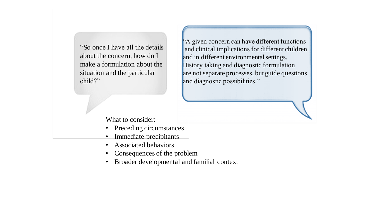"So once I have all the details about the concern, how do I make a formulation about the situation and the particular child?"

"A given concern can have different functions and clinical implications for different children and in different environmental settings. History taking and diagnostic formulation are not separate processes, but guide questions and diagnostic possibilities."

What to consider:

- Preceding circumstances
- Immediate precipitants
- Associated behaviors
- Consequences of the problem
- Broader developmental and familial context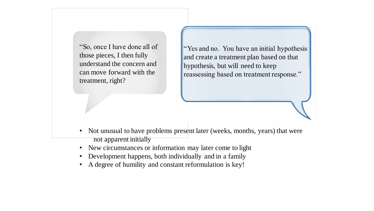"So, once I have done all of those pieces, I then fully understand the concern and can move forward with the treatment, right?

"Yes and no. You have an initial hypothesis and create a treatment plan based on that hypothesis, but will need to keep reassessing based on treatment response."

- Not unusual to have problems present later (weeks, months, years) that were not apparent initially
- New circumstances or information may later come to light
- Development happens, both individually and in a family
- A degree of humility and constant reformulation is key!